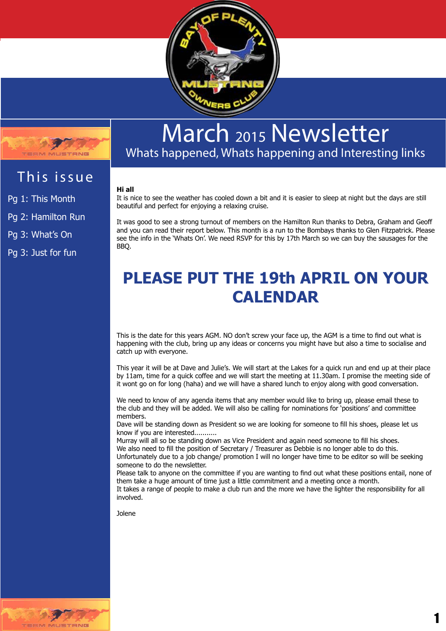



# March <sup>2015</sup> Newsletter

Whats happened, Whats happening and Interesting links

# This issue

Pg 1: This Month Pg 2: Hamilton Run

Pg 3: What's On

Pg 3: Just for fun

## **Hi all**

It is nice to see the weather has cooled down a bit and it is easier to sleep at night but the days are still beautiful and perfect for enjoying a relaxing cruise.

It was good to see a strong turnout of members on the Hamilton Run thanks to Debra, Graham and Geoff and you can read their report below. This month is a run to the Bombays thanks to Glen Fitzpatrick. Please see the info in the 'Whats On'. We need RSVP for this by 17th March so we can buy the sausages for the BBQ.

# **PLEASE PUT THE 19th APRIL ON YOUR CALENDAR**

This is the date for this years AGM. NO don't screw your face up, the AGM is a time to find out what is happening with the club, bring up any ideas or concerns you might have but also a time to socialise and catch up with everyone.

This year it will be at Dave and Julie's. We will start at the Lakes for a quick run and end up at their place by 11am, time for a quick coffee and we will start the meeting at 11.30am. I promise the meeting side of it wont go on for long (haha) and we will have a shared lunch to enjoy along with good conversation.

We need to know of any agenda items that any member would like to bring up, please email these to the club and they will be added. We will also be calling for nominations for 'positions' and committee members.

Dave will be standing down as President so we are looking for someone to fill his shoes, please let us know if you are interested...........

Murray will all so be standing down as Vice President and again need someone to fill his shoes. We also need to fill the position of Secretary / Treasurer as Debbie is no longer able to do this. Unfortunately due to a job change/ promotion I will no longer have time to be editor so will be seeking

someone to do the newsletter.

Please talk to anyone on the committee if you are wanting to find out what these positions entail, none of them take a huge amount of time just a little commitment and a meeting once a month.

It takes a range of people to make a club run and the more we have the lighter the responsibility for all involved.

Jolene



1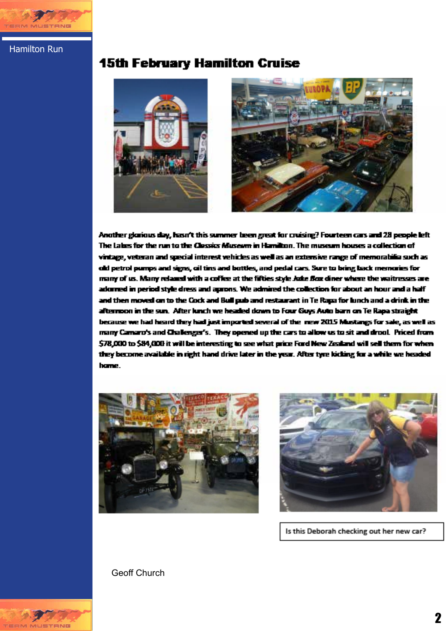

Hamilton Run

## **15th February Hamilton Cruise**



Another glorious day, hasn't this summer been great for cruising? Fourteen cars and 28 people left The Labes for the run to the Clossics Museum in Hamilton. The museum houses a collection of vintage, veteran and special interest vehicles as well as an extensive range of memorabilia such as old petrol pumps and signs, cil tins and bottles, and pedal cars. Sure to bring back memories for many of us. Many relaxed with a coffee at the fifties style Juke Box diner where the waitresses are adorned in period style dress and aprons. We admired the collection for about an hour and a half and then moved on to the Cock and Bull pub and restaurant in Te Rapa for lunch and a drink in the afternoon in the sun. After lunch we headed down to Four Guys Auto barn on Te Rapa straight because we had heard they had just imported several of the mew 2015 Mustangs for sale, as well as many Camaro's and Challenger's. They opened up the cars to allow us to sit and drool. Priced from \$78,000 to \$84,000 it will be interesting to see what price Ford New Zealand will sell them for when they become available in right hand drive later in the year. After tyre kicking for a while we headed hame.





Is this Deborah checking out her new car?

Geoff Church